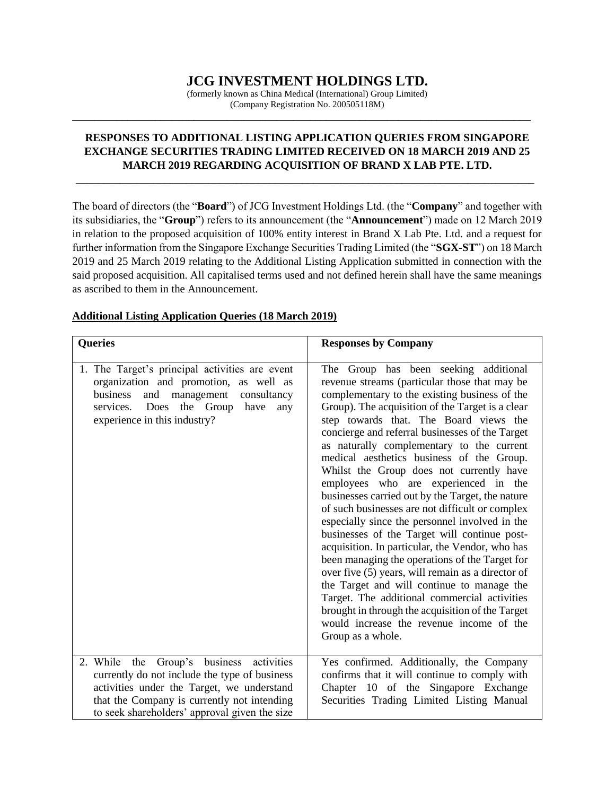# **JCG INVESTMENT HOLDINGS LTD.**

(formerly known as China Medical (International) Group Limited) (Company Registration No. 200505118M)

**\_\_\_\_\_\_\_\_\_\_\_\_\_\_\_\_\_\_\_\_\_\_\_\_\_\_\_\_\_\_\_\_\_\_\_\_\_\_\_\_\_\_\_\_\_\_\_\_\_\_\_\_\_\_\_\_\_\_\_\_\_\_\_\_\_\_\_\_\_\_\_\_\_\_\_\_\_\_\_\_\_\_\_**

## **RESPONSES TO ADDITIONAL LISTING APPLICATION QUERIES FROM SINGAPORE EXCHANGE SECURITIES TRADING LIMITED RECEIVED ON 18 MARCH 2019 AND 25 MARCH 2019 REGARDING ACQUISITION OF BRAND X LAB PTE. LTD.**

**\_\_\_\_\_\_\_\_\_\_\_\_\_\_\_\_\_\_\_\_\_\_\_\_\_\_\_\_\_\_\_\_\_\_\_\_\_\_\_\_\_\_\_\_\_\_\_\_\_\_\_\_\_\_\_\_\_\_\_\_\_\_\_\_\_\_\_\_\_\_\_\_\_\_\_\_\_\_\_\_\_\_\_**

The board of directors (the "**Board**") of JCG Investment Holdings Ltd. (the "**Company**" and together with its subsidiaries, the "**Group**") refers to its announcement (the "**Announcement**") made on 12 March 2019 in relation to the proposed acquisition of 100% entity interest in Brand X Lab Pte. Ltd. and a request for further information from the Singapore Exchange Securities Trading Limited (the "**SGX-ST**") on 18 March 2019 and 25 March 2019 relating to the Additional Listing Application submitted in connection with the said proposed acquisition. All capitalised terms used and not defined herein shall have the same meanings as ascribed to them in the Announcement.

| <b>Queries</b>                                                                                                                                                                                                                             | <b>Responses by Company</b>                                                                                                                                                                                                                                                                                                                                                                                                                                                                                                                                                                                                                                                                                                                                                                                                                                                                                                                                                                                                                                  |
|--------------------------------------------------------------------------------------------------------------------------------------------------------------------------------------------------------------------------------------------|--------------------------------------------------------------------------------------------------------------------------------------------------------------------------------------------------------------------------------------------------------------------------------------------------------------------------------------------------------------------------------------------------------------------------------------------------------------------------------------------------------------------------------------------------------------------------------------------------------------------------------------------------------------------------------------------------------------------------------------------------------------------------------------------------------------------------------------------------------------------------------------------------------------------------------------------------------------------------------------------------------------------------------------------------------------|
| 1. The Target's principal activities are event<br>organization and promotion, as well as<br>and management<br>business<br>consultancy<br>Does the Group<br>services.<br>have<br>any<br>experience in this industry?                        | The Group has been seeking additional<br>revenue streams (particular those that may be<br>complementary to the existing business of the<br>Group). The acquisition of the Target is a clear<br>step towards that. The Board views the<br>concierge and referral businesses of the Target<br>as naturally complementary to the current<br>medical aesthetics business of the Group.<br>Whilst the Group does not currently have<br>employees who are experienced in the<br>businesses carried out by the Target, the nature<br>of such businesses are not difficult or complex<br>especially since the personnel involved in the<br>businesses of the Target will continue post-<br>acquisition. In particular, the Vendor, who has<br>been managing the operations of the Target for<br>over five (5) years, will remain as a director of<br>the Target and will continue to manage the<br>Target. The additional commercial activities<br>brought in through the acquisition of the Target<br>would increase the revenue income of the<br>Group as a whole. |
| Group's business activities<br>2. While the<br>currently do not include the type of business<br>activities under the Target, we understand<br>that the Company is currently not intending<br>to seek shareholders' approval given the size | Yes confirmed. Additionally, the Company<br>confirms that it will continue to comply with<br>Chapter 10 of the Singapore Exchange<br>Securities Trading Limited Listing Manual                                                                                                                                                                                                                                                                                                                                                                                                                                                                                                                                                                                                                                                                                                                                                                                                                                                                               |

## **Additional Listing Application Queries (18 March 2019)**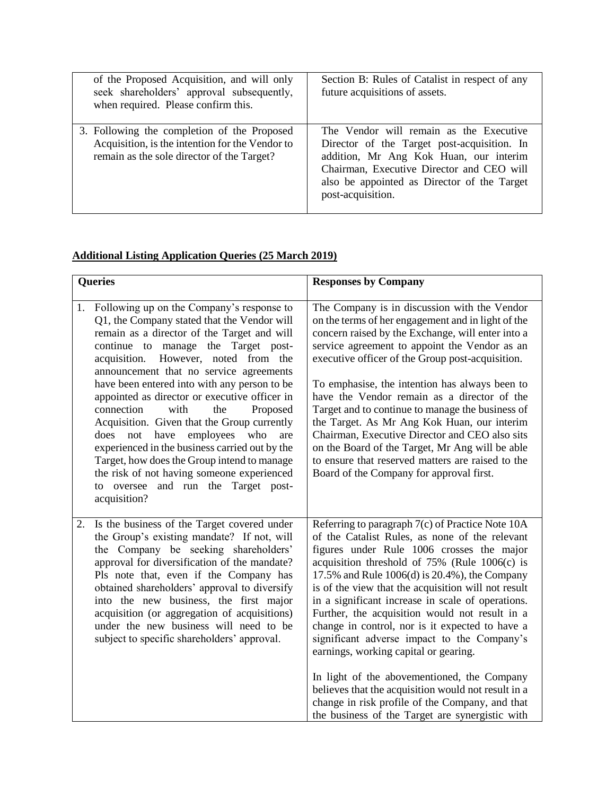| of the Proposed Acquisition, and will only<br>seek shareholders' approval subsequently,<br>when required. Please confirm this.               | Section B: Rules of Catalist in respect of any<br>future acquisitions of assets.                                                                                                                                                                  |
|----------------------------------------------------------------------------------------------------------------------------------------------|---------------------------------------------------------------------------------------------------------------------------------------------------------------------------------------------------------------------------------------------------|
| 3. Following the completion of the Proposed<br>Acquisition, is the intention for the Vendor to<br>remain as the sole director of the Target? | The Vendor will remain as the Executive<br>Director of the Target post-acquisition. In<br>addition, Mr Ang Kok Huan, our interim<br>Chairman, Executive Director and CEO will<br>also be appointed as Director of the Target<br>post-acquisition. |

## **Additional Listing Application Queries (25 March 2019)**

|    | Queries                                                                                                                                                                                                                                                                                                                                                                                                                                                                                                                                                                                                                                                                                                   | <b>Responses by Company</b>                                                                                                                                                                                                                                                                                                                                                                                                                                                                                                                                                                                                                                                                                                                                               |
|----|-----------------------------------------------------------------------------------------------------------------------------------------------------------------------------------------------------------------------------------------------------------------------------------------------------------------------------------------------------------------------------------------------------------------------------------------------------------------------------------------------------------------------------------------------------------------------------------------------------------------------------------------------------------------------------------------------------------|---------------------------------------------------------------------------------------------------------------------------------------------------------------------------------------------------------------------------------------------------------------------------------------------------------------------------------------------------------------------------------------------------------------------------------------------------------------------------------------------------------------------------------------------------------------------------------------------------------------------------------------------------------------------------------------------------------------------------------------------------------------------------|
| 1. | Following up on the Company's response to<br>Q1, the Company stated that the Vendor will<br>remain as a director of the Target and will<br>continue to manage the Target post-<br>However, noted from the<br>acquisition.<br>announcement that no service agreements<br>have been entered into with any person to be<br>appointed as director or executive officer in<br>connection<br>with<br>the<br>Proposed<br>Acquisition. Given that the Group currently<br>does not have employees who<br>are<br>experienced in the business carried out by the<br>Target, how does the Group intend to manage<br>the risk of not having someone experienced<br>to oversee and run the Target post-<br>acquisition? | The Company is in discussion with the Vendor<br>on the terms of her engagement and in light of the<br>concern raised by the Exchange, will enter into a<br>service agreement to appoint the Vendor as an<br>executive officer of the Group post-acquisition.<br>To emphasise, the intention has always been to<br>have the Vendor remain as a director of the<br>Target and to continue to manage the business of<br>the Target. As Mr Ang Kok Huan, our interim<br>Chairman, Executive Director and CEO also sits<br>on the Board of the Target, Mr Ang will be able<br>to ensure that reserved matters are raised to the<br>Board of the Company for approval first.                                                                                                    |
| 2. | Is the business of the Target covered under<br>the Group's existing mandate? If not, will<br>the Company be seeking shareholders'<br>approval for diversification of the mandate?<br>Pls note that, even if the Company has<br>obtained shareholders' approval to diversify<br>into the new business, the first major<br>acquisition (or aggregation of acquisitions)<br>under the new business will need to be<br>subject to specific shareholders' approval.                                                                                                                                                                                                                                            | Referring to paragraph 7(c) of Practice Note 10A<br>of the Catalist Rules, as none of the relevant<br>figures under Rule 1006 crosses the major<br>acquisition threshold of $75\%$ (Rule 1006(c) is<br>17.5% and Rule 1006(d) is 20.4%), the Company<br>is of the view that the acquisition will not result<br>in a significant increase in scale of operations.<br>Further, the acquisition would not result in a<br>change in control, nor is it expected to have a<br>significant adverse impact to the Company's<br>earnings, working capital or gearing.<br>In light of the abovementioned, the Company<br>believes that the acquisition would not result in a<br>change in risk profile of the Company, and that<br>the business of the Target are synergistic with |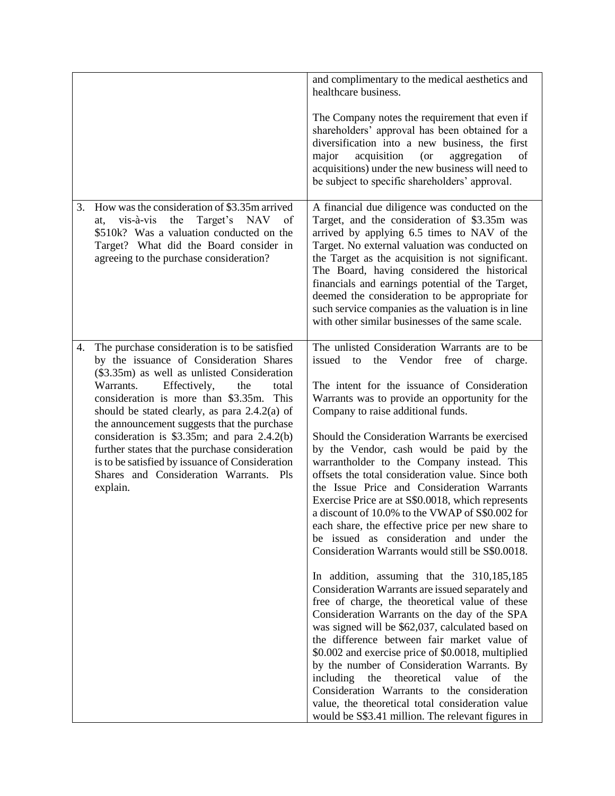|                                                                                                                                                                                                                                                                                                                                                                                                                                                                                                                                                       | and complimentary to the medical aesthetics and<br>healthcare business.<br>The Company notes the requirement that even if<br>shareholders' approval has been obtained for a<br>diversification into a new business, the first<br>major<br>acquisition<br>(or<br>aggregation<br>of<br>acquisitions) under the new business will need to<br>be subject to specific shareholders' approval.                                                                                                                                                                                                                                                                                                                                                                                                                                                                                                                                                                                                                                                                                                                                                                                                                                                                                                                                                                                                |
|-------------------------------------------------------------------------------------------------------------------------------------------------------------------------------------------------------------------------------------------------------------------------------------------------------------------------------------------------------------------------------------------------------------------------------------------------------------------------------------------------------------------------------------------------------|-----------------------------------------------------------------------------------------------------------------------------------------------------------------------------------------------------------------------------------------------------------------------------------------------------------------------------------------------------------------------------------------------------------------------------------------------------------------------------------------------------------------------------------------------------------------------------------------------------------------------------------------------------------------------------------------------------------------------------------------------------------------------------------------------------------------------------------------------------------------------------------------------------------------------------------------------------------------------------------------------------------------------------------------------------------------------------------------------------------------------------------------------------------------------------------------------------------------------------------------------------------------------------------------------------------------------------------------------------------------------------------------|
| How was the consideration of \$3.35m arrived<br>3.<br>the<br>Target's NAV<br>vis-à-vis<br>- of<br>at,<br>\$510k? Was a valuation conducted on the<br>Target? What did the Board consider in<br>agreeing to the purchase consideration?                                                                                                                                                                                                                                                                                                                | A financial due diligence was conducted on the<br>Target, and the consideration of \$3.35m was<br>arrived by applying 6.5 times to NAV of the<br>Target. No external valuation was conducted on<br>the Target as the acquisition is not significant.<br>The Board, having considered the historical<br>financials and earnings potential of the Target,<br>deemed the consideration to be appropriate for<br>such service companies as the valuation is in line<br>with other similar businesses of the same scale.                                                                                                                                                                                                                                                                                                                                                                                                                                                                                                                                                                                                                                                                                                                                                                                                                                                                     |
| The purchase consideration is to be satisfied<br>4.<br>by the issuance of Consideration Shares<br>(\$3.35m) as well as unlisted Consideration<br>Warrants.<br>Effectively,<br>the<br>total<br>consideration is more than \$3.35m.<br>This<br>should be stated clearly, as para $2.4.2(a)$ of<br>the announcement suggests that the purchase<br>consideration is \$3.35m; and para 2.4.2(b)<br>further states that the purchase consideration<br>is to be satisfied by issuance of Consideration<br>Shares and Consideration Warrants. Pls<br>explain. | The unlisted Consideration Warrants are to be<br>issued<br>the<br>Vendor<br>to<br>free<br>of<br>charge.<br>The intent for the issuance of Consideration<br>Warrants was to provide an opportunity for the<br>Company to raise additional funds.<br>Should the Consideration Warrants be exercised<br>by the Vendor, cash would be paid by the<br>warrantholder to the Company instead. This<br>offsets the total consideration value. Since both<br>the Issue Price and Consideration Warrants<br>Exercise Price are at S\$0.0018, which represents<br>a discount of 10.0% to the VWAP of S\$0.002 for<br>each share, the effective price per new share to<br>be issued as consideration and under the<br>Consideration Warrants would still be S\$0.0018.<br>In addition, assuming that the 310,185,185<br>Consideration Warrants are issued separately and<br>free of charge, the theoretical value of these<br>Consideration Warrants on the day of the SPA<br>was signed will be \$62,037, calculated based on<br>the difference between fair market value of<br>\$0.002 and exercise price of \$0.0018, multiplied<br>by the number of Consideration Warrants. By<br>theoretical<br>including<br>the<br>value<br>of<br>the<br>Consideration Warrants to the consideration<br>value, the theoretical total consideration value<br>would be S\$3.41 million. The relevant figures in |